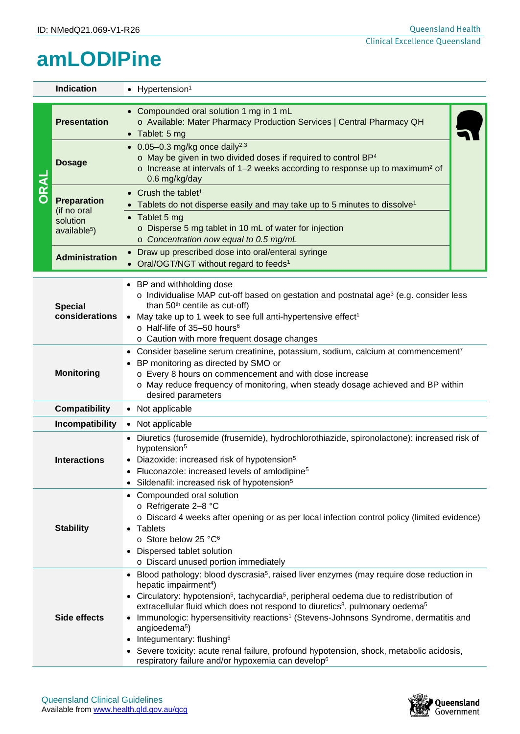## **amLODIPine**

|                                                                                                                                                                 | <b>Indication</b><br>• Hypertension <sup>1</sup>                                                                                                                                                                                                                                                                                                                                           |                                                                                                                                                                                                                                                                                                                                                                                                                                                                                                                                                                                              |  |  |  |
|-----------------------------------------------------------------------------------------------------------------------------------------------------------------|--------------------------------------------------------------------------------------------------------------------------------------------------------------------------------------------------------------------------------------------------------------------------------------------------------------------------------------------------------------------------------------------|----------------------------------------------------------------------------------------------------------------------------------------------------------------------------------------------------------------------------------------------------------------------------------------------------------------------------------------------------------------------------------------------------------------------------------------------------------------------------------------------------------------------------------------------------------------------------------------------|--|--|--|
| <b>ORAL</b>                                                                                                                                                     | <b>Presentation</b>                                                                                                                                                                                                                                                                                                                                                                        | Compounded oral solution 1 mg in 1 mL<br>o Available: Mater Pharmacy Production Services   Central Pharmacy QH<br>$\bullet$ Tablet: 5 mg                                                                                                                                                                                                                                                                                                                                                                                                                                                     |  |  |  |
|                                                                                                                                                                 | <b>Dosage</b>                                                                                                                                                                                                                                                                                                                                                                              | • $0.05-0.3$ mg/kg once daily <sup>2,3</sup><br>$\circ$ May be given in two divided doses if required to control BP <sup>4</sup><br>$\circ$ Increase at intervals of 1–2 weeks according to response up to maximum <sup>2</sup> of<br>0.6 mg/kg/day                                                                                                                                                                                                                                                                                                                                          |  |  |  |
|                                                                                                                                                                 | <b>Preparation</b><br>(if no oral<br>solution<br>available <sup>5</sup> )                                                                                                                                                                                                                                                                                                                  | Crush the tablet <sup>1</sup><br>• Tablets do not disperse easily and may take up to 5 minutes to dissolve <sup>1</sup><br>• Tablet 5 mg<br>o Disperse 5 mg tablet in 10 mL of water for injection<br>o Concentration now equal to 0.5 mg/mL                                                                                                                                                                                                                                                                                                                                                 |  |  |  |
|                                                                                                                                                                 | <b>Administration</b>                                                                                                                                                                                                                                                                                                                                                                      | Draw up prescribed dose into oral/enteral syringe<br>$\bullet$<br>Oral/OGT/NGT without regard to feeds <sup>1</sup>                                                                                                                                                                                                                                                                                                                                                                                                                                                                          |  |  |  |
|                                                                                                                                                                 | • BP and withholding dose<br>$\circ$ Individualise MAP cut-off based on gestation and postnatal age <sup>3</sup> (e.g. consider less<br>than 50 <sup>th</sup> centile as cut-off)<br><b>Special</b><br>considerations<br>May take up to 1 week to see full anti-hypertensive effect <sup>1</sup><br>o Half-life of 35-50 hours <sup>6</sup><br>o Caution with more frequent dosage changes |                                                                                                                                                                                                                                                                                                                                                                                                                                                                                                                                                                                              |  |  |  |
| • BP monitoring as directed by SMO or<br><b>Monitoring</b><br>o Every 8 hours on commencement and with dose increase<br>desired parameters                      |                                                                                                                                                                                                                                                                                                                                                                                            | • Consider baseline serum creatinine, potassium, sodium, calcium at commencement <sup>7</sup><br>o May reduce frequency of monitoring, when steady dosage achieved and BP within                                                                                                                                                                                                                                                                                                                                                                                                             |  |  |  |
|                                                                                                                                                                 | <b>Compatibility</b>                                                                                                                                                                                                                                                                                                                                                                       | • Not applicable                                                                                                                                                                                                                                                                                                                                                                                                                                                                                                                                                                             |  |  |  |
|                                                                                                                                                                 | Incompatibility<br>• Not applicable                                                                                                                                                                                                                                                                                                                                                        |                                                                                                                                                                                                                                                                                                                                                                                                                                                                                                                                                                                              |  |  |  |
|                                                                                                                                                                 | <b>Interactions</b>                                                                                                                                                                                                                                                                                                                                                                        | Diuretics (furosemide (frusemide), hydrochlorothiazide, spironolactone): increased risk of<br>hypotension <sup>5</sup><br>• Diazoxide: increased risk of hypotension <sup>5</sup><br>Fluconazole: increased levels of amlodipine <sup>5</sup><br>• Sildenafil: increased risk of hypotension <sup>5</sup>                                                                                                                                                                                                                                                                                    |  |  |  |
| • Compounded oral solution<br>o Refrigerate 2-8 °C<br><b>Stability</b><br>Tablets<br>o Store below 25 °C <sup>6</sup><br>Dispersed tablet solution<br>$\bullet$ |                                                                                                                                                                                                                                                                                                                                                                                            | o Discard 4 weeks after opening or as per local infection control policy (limited evidence)<br>o Discard unused portion immediately                                                                                                                                                                                                                                                                                                                                                                                                                                                          |  |  |  |
| hepatic impairment <sup>4</sup> )<br>Side effects<br>angioedema <sup>5</sup> )<br>Integumentary: flushing <sup>6</sup>                                          |                                                                                                                                                                                                                                                                                                                                                                                            | Blood pathology: blood dyscrasia <sup>5</sup> , raised liver enzymes (may require dose reduction in<br>Circulatory: hypotension <sup>5</sup> , tachycardia <sup>5</sup> , peripheral oedema due to redistribution of<br>extracellular fluid which does not respond to diuretics <sup>8</sup> , pulmonary oedema <sup>5</sup><br>Immunologic: hypersensitivity reactions <sup>1</sup> (Stevens-Johnsons Syndrome, dermatitis and<br>• Severe toxicity: acute renal failure, profound hypotension, shock, metabolic acidosis,<br>respiratory failure and/or hypoxemia can develop <sup>6</sup> |  |  |  |